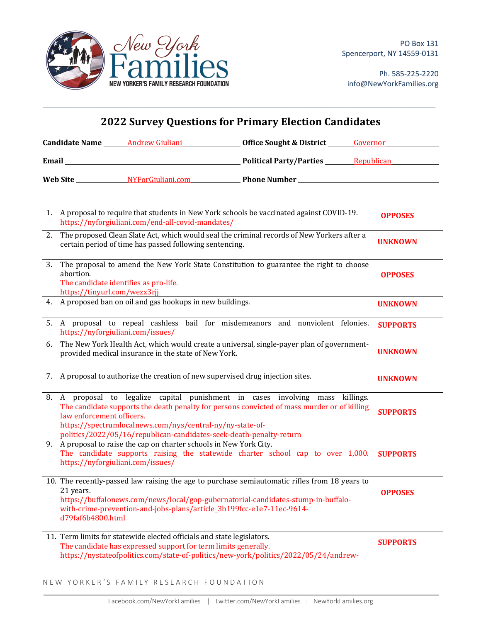

Ph. 585-225-2220 info@NewYorkFamilies.org

| <b>2022 Survey Questions for Primary Election Candidates</b> |                                                                                                                                                                              |                                                                                                                                          |                                                                                                                                                                                    |                 |
|--------------------------------------------------------------|------------------------------------------------------------------------------------------------------------------------------------------------------------------------------|------------------------------------------------------------------------------------------------------------------------------------------|------------------------------------------------------------------------------------------------------------------------------------------------------------------------------------|-----------------|
|                                                              |                                                                                                                                                                              |                                                                                                                                          | Candidate Name _______ Andrew Giuliani ___________________ Office Sought & District _______ Governor                                                                               |                 |
|                                                              |                                                                                                                                                                              |                                                                                                                                          |                                                                                                                                                                                    |                 |
|                                                              |                                                                                                                                                                              |                                                                                                                                          |                                                                                                                                                                                    |                 |
|                                                              |                                                                                                                                                                              | https://nyforgiuliani.com/end-all-covid-mandates/                                                                                        | 1. A proposal to require that students in New York schools be vaccinated against COVID-19.                                                                                         | <b>OPPOSES</b>  |
| 2.                                                           |                                                                                                                                                                              | certain period of time has passed following sentencing.                                                                                  | The proposed Clean Slate Act, which would seal the criminal records of New Yorkers after a                                                                                         | <b>UNKNOWN</b>  |
| 3.                                                           | The proposal to amend the New York State Constitution to guarantee the right to choose<br>abortion.<br>The candidate identifies as pro-life.<br>https://tinyurl.com/wezx3rjj |                                                                                                                                          |                                                                                                                                                                                    | <b>OPPOSES</b>  |
|                                                              |                                                                                                                                                                              | 4. A proposed ban on oil and gas hookups in new buildings.                                                                               |                                                                                                                                                                                    | <b>UNKNOWN</b>  |
|                                                              | 5. A proposal to repeal cashless bail for misdemeanors and nonviolent felonies.<br>https://nyforgiuliani.com/issues/                                                         |                                                                                                                                          |                                                                                                                                                                                    | <b>SUPPORTS</b> |
| 6.                                                           | The New York Health Act, which would create a universal, single-payer plan of government-<br>provided medical insurance in the state of New York.                            |                                                                                                                                          |                                                                                                                                                                                    | <b>UNKNOWN</b>  |
|                                                              |                                                                                                                                                                              | 7. A proposal to authorize the creation of new supervised drug injection sites.                                                          |                                                                                                                                                                                    | <b>UNKNOWN</b>  |
|                                                              | law enforcement officers.                                                                                                                                                    | https://spectrumlocalnews.com/nys/central-ny/ny-state-of-<br>politics/2022/05/16/republican-candidates-seek-death-penalty-return         | 8. A proposal to legalize capital punishment in cases involving mass killings.<br>The candidate supports the death penalty for persons convicted of mass murder or of killing      | <b>SUPPORTS</b> |
|                                                              |                                                                                                                                                                              | 9. A proposal to raise the cap on charter schools in New York City.<br>https://nyforgiuliani.com/issues/                                 | The candidate supports raising the statewide charter school cap to over 1,000. SUPPORTS                                                                                            |                 |
|                                                              | 21 years.<br>d79faf6b4800.html                                                                                                                                               | with-crime-prevention-and-jobs-plans/article_3b199fcc-e1e7-11ec-9614-                                                                    | 10. The recently-passed law raising the age to purchase semiautomatic rifles from 18 years to<br>https://buffalonews.com/news/local/gop-gubernatorial-candidates-stump-in-buffalo- | <b>OPPOSES</b>  |
|                                                              |                                                                                                                                                                              | 11. Term limits for statewide elected officials and state legislators.<br>The candidate has expressed support for term limits generally. | https://nystateofpolitics.com/state-of-politics/new-york/politics/2022/05/24/andrew-                                                                                               | <b>SUPPORTS</b> |

 $\mathcal{L}_\mathcal{L} = \mathcal{L}_\mathcal{L} = \mathcal{L}_\mathcal{L} = \mathcal{L}_\mathcal{L} = \mathcal{L}_\mathcal{L} = \mathcal{L}_\mathcal{L} = \mathcal{L}_\mathcal{L} = \mathcal{L}_\mathcal{L} = \mathcal{L}_\mathcal{L} = \mathcal{L}_\mathcal{L} = \mathcal{L}_\mathcal{L} = \mathcal{L}_\mathcal{L} = \mathcal{L}_\mathcal{L} = \mathcal{L}_\mathcal{L} = \mathcal{L}_\mathcal{L} = \mathcal{L}_\mathcal{L} = \mathcal{L}_\mathcal{L}$ 

NEW YORKER'S FAMILY RESEARCH FOUNDATION